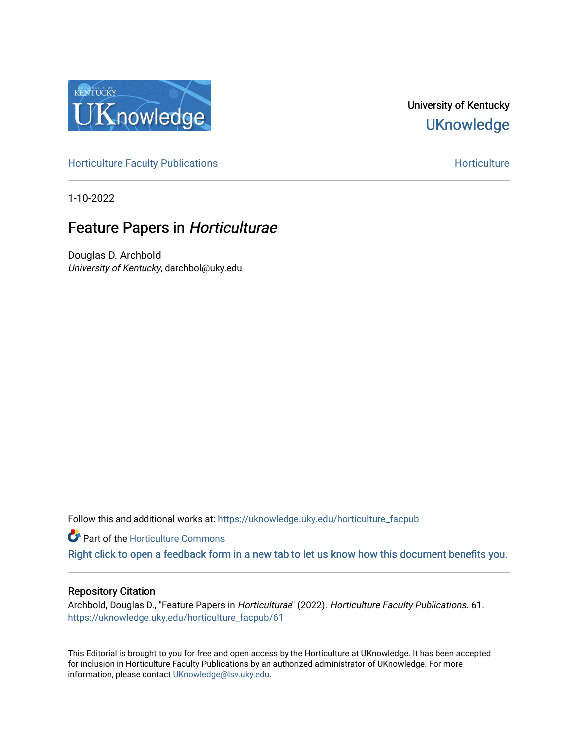

# University of Kentucky **UKnowledge**

[Horticulture Faculty Publications](https://uknowledge.uky.edu/horticulture_facpub) **Horticulture** Horticulture

1-10-2022

# Feature Papers in Horticulturae

Douglas D. Archbold University of Kentucky, darchbol@uky.edu

Follow this and additional works at: [https://uknowledge.uky.edu/horticulture\\_facpub](https://uknowledge.uky.edu/horticulture_facpub?utm_source=uknowledge.uky.edu%2Fhorticulture_facpub%2F61&utm_medium=PDF&utm_campaign=PDFCoverPages) 

**C** Part of the Horticulture Commons

[Right click to open a feedback form in a new tab to let us know how this document benefits you.](https://uky.az1.qualtrics.com/jfe/form/SV_9mq8fx2GnONRfz7)

#### Repository Citation

Archbold, Douglas D., "Feature Papers in Horticulturae" (2022). Horticulture Faculty Publications. 61. [https://uknowledge.uky.edu/horticulture\\_facpub/61](https://uknowledge.uky.edu/horticulture_facpub/61?utm_source=uknowledge.uky.edu%2Fhorticulture_facpub%2F61&utm_medium=PDF&utm_campaign=PDFCoverPages)

This Editorial is brought to you for free and open access by the Horticulture at UKnowledge. It has been accepted for inclusion in Horticulture Faculty Publications by an authorized administrator of UKnowledge. For more information, please contact [UKnowledge@lsv.uky.edu](mailto:UKnowledge@lsv.uky.edu).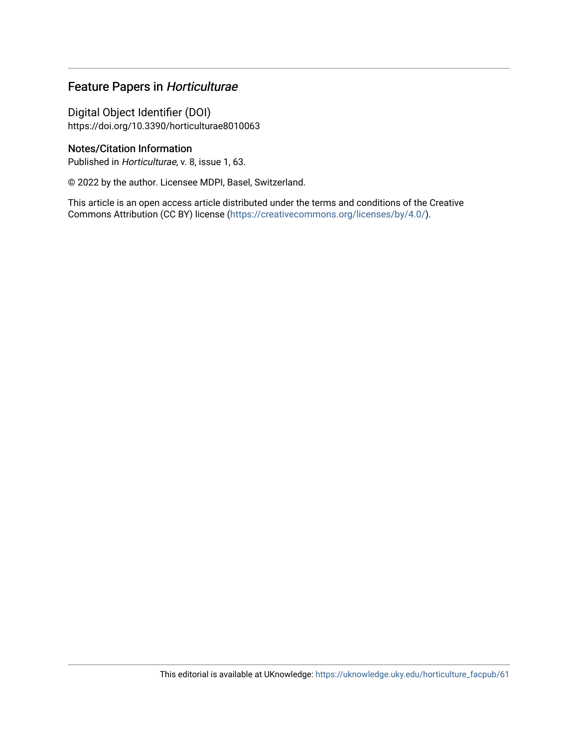## Feature Papers in Horticulturae

Digital Object Identifier (DOI) https://doi.org/10.3390/horticulturae8010063

### Notes/Citation Information

Published in Horticulturae, v. 8, issue 1, 63.

© 2022 by the author. Licensee MDPI, Basel, Switzerland.

This article is an open access article distributed under the terms and conditions of the Creative Commons Attribution (CC BY) license ([https://creativecommons.org/licenses/by/4.0/\)](https://creativecommons.org/licenses/by/4.0/).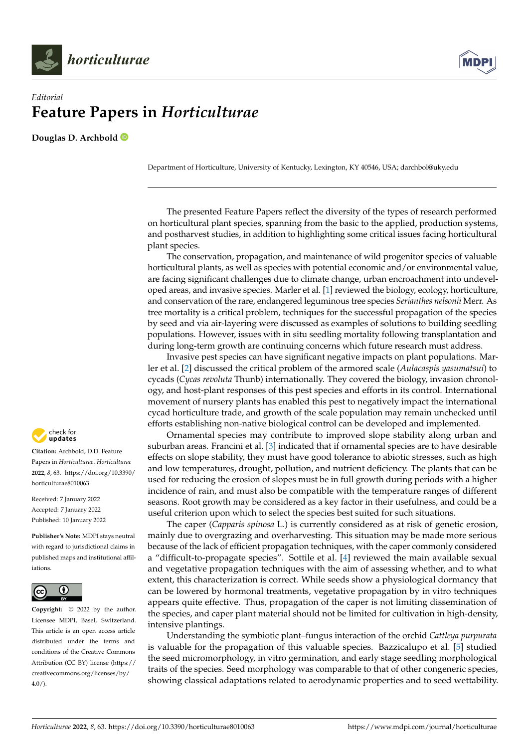

## *Editorial* **Feature Papers in** *Horticulturae*

**Douglas D. Archbold**

Department of Horticulture, University of Kentucky, Lexington, KY 40546, USA; darchbol@uky.edu

The presented Feature Papers reflect the diversity of the types of research performed on horticultural plant species, spanning from the basic to the applied, production systems, and postharvest studies, in addition to highlighting some critical issues facing horticultural plant species.

The conservation, propagation, and maintenance of wild progenitor species of valuable horticultural plants, as well as species with potential economic and/or environmental value, are facing significant challenges due to climate change, urban encroachment into undeveloped areas, and invasive species. Marler et al. [\[1\]](#page-4-0) reviewed the biology, ecology, horticulture, and conservation of the rare, endangered leguminous tree species *Serianthes nelsonii* Merr. As tree mortality is a critical problem, techniques for the successful propagation of the species by seed and via air-layering were discussed as examples of solutions to building seedling populations. However, issues with in situ seedling mortality following transplantation and during long-term growth are continuing concerns which future research must address.

Invasive pest species can have significant negative impacts on plant populations. Marler et al. [\[2\]](#page-4-1) discussed the critical problem of the armored scale (*Aulacaspis yasumatsui*) to cycads (*Cycas revoluta* Thunb) internationally. They covered the biology, invasion chronology, and host-plant responses of this pest species and efforts in its control. International movement of nursery plants has enabled this pest to negatively impact the international cycad horticulture trade, and growth of the scale population may remain unchecked until efforts establishing non-native biological control can be developed and implemented.

Ornamental species may contribute to improved slope stability along urban and suburban areas. Francini et al. [\[3\]](#page-4-2) indicated that if ornamental species are to have desirable effects on slope stability, they must have good tolerance to abiotic stresses, such as high and low temperatures, drought, pollution, and nutrient deficiency. The plants that can be used for reducing the erosion of slopes must be in full growth during periods with a higher incidence of rain, and must also be compatible with the temperature ranges of different seasons. Root growth may be considered as a key factor in their usefulness, and could be a useful criterion upon which to select the species best suited for such situations.

The caper (*Capparis spinosa* L.) is currently considered as at risk of genetic erosion, mainly due to overgrazing and overharvesting. This situation may be made more serious because of the lack of efficient propagation techniques, with the caper commonly considered a "difficult-to-propagate species". Sottile et al. [\[4\]](#page-4-3) reviewed the main available sexual and vegetative propagation techniques with the aim of assessing whether, and to what extent, this characterization is correct. While seeds show a physiological dormancy that can be lowered by hormonal treatments, vegetative propagation by in vitro techniques appears quite effective. Thus, propagation of the caper is not limiting dissemination of the species, and caper plant material should not be limited for cultivation in high-density, intensive plantings.

Understanding the symbiotic plant–fungus interaction of the orchid *Cattleya purpurata* is valuable for the propagation of this valuable species. Bazzicalupo et al. [\[5\]](#page-4-4) studied the seed micromorphology, in vitro germination, and early stage seedling morphological traits of the species. Seed morphology was comparable to that of other congeneric species, showing classical adaptations related to aerodynamic properties and to seed wettability.



**Citation:** Archbold, D.D. Feature Papers in *Horticulturae*. *Horticulturae* **2022**, *8*, 63. [https://doi.org/10.3390/](https://doi.org/10.3390/horticulturae8010063) [horticulturae8010063](https://doi.org/10.3390/horticulturae8010063)

Received: 7 January 2022 Accepted: 7 January 2022 Published: 10 January 2022

**Publisher's Note:** MDPI stays neutral with regard to jurisdictional claims in published maps and institutional affiliations.



**Copyright:** © 2022 by the author. Licensee MDPI, Basel, Switzerland. This article is an open access article distributed under the terms and conditions of the Creative Commons Attribution (CC BY) license [\(https://](https://creativecommons.org/licenses/by/4.0/) [creativecommons.org/licenses/by/](https://creativecommons.org/licenses/by/4.0/)  $4.0/$ ).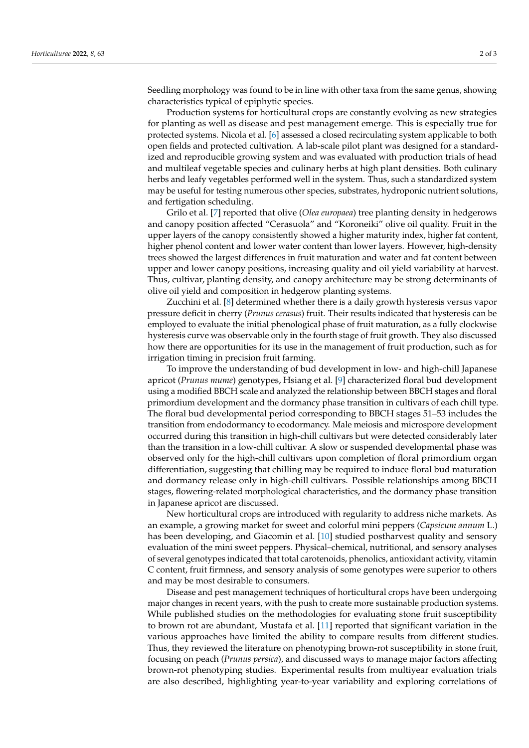Seedling morphology was found to be in line with other taxa from the same genus, showing characteristics typical of epiphytic species.

Production systems for horticultural crops are constantly evolving as new strategies for planting as well as disease and pest management emerge. This is especially true for protected systems. Nicola et al. [\[6\]](#page-4-5) assessed a closed recirculating system applicable to both open fields and protected cultivation. A lab-scale pilot plant was designed for a standardized and reproducible growing system and was evaluated with production trials of head and multileaf vegetable species and culinary herbs at high plant densities. Both culinary herbs and leafy vegetables performed well in the system. Thus, such a standardized system may be useful for testing numerous other species, substrates, hydroponic nutrient solutions, and fertigation scheduling.

Grilo et al. [\[7\]](#page-4-6) reported that olive (*Olea europaea*) tree planting density in hedgerows and canopy position affected "Cerasuola" and "Koroneiki" olive oil quality. Fruit in the upper layers of the canopy consistently showed a higher maturity index, higher fat content, higher phenol content and lower water content than lower layers. However, high-density trees showed the largest differences in fruit maturation and water and fat content between upper and lower canopy positions, increasing quality and oil yield variability at harvest. Thus, cultivar, planting density, and canopy architecture may be strong determinants of olive oil yield and composition in hedgerow planting systems.

Zucchini et al. [\[8\]](#page-4-7) determined whether there is a daily growth hysteresis versus vapor pressure deficit in cherry (*Prunus cerasus*) fruit. Their results indicated that hysteresis can be employed to evaluate the initial phenological phase of fruit maturation, as a fully clockwise hysteresis curve was observable only in the fourth stage of fruit growth. They also discussed how there are opportunities for its use in the management of fruit production, such as for irrigation timing in precision fruit farming.

To improve the understanding of bud development in low- and high-chill Japanese apricot (*Prunus mume*) genotypes, Hsiang et al. [\[9\]](#page-4-8) characterized floral bud development using a modified BBCH scale and analyzed the relationship between BBCH stages and floral primordium development and the dormancy phase transition in cultivars of each chill type. The floral bud developmental period corresponding to BBCH stages 51–53 includes the transition from endodormancy to ecodormancy. Male meiosis and microspore development occurred during this transition in high-chill cultivars but were detected considerably later than the transition in a low-chill cultivar. A slow or suspended developmental phase was observed only for the high-chill cultivars upon completion of floral primordium organ differentiation, suggesting that chilling may be required to induce floral bud maturation and dormancy release only in high-chill cultivars. Possible relationships among BBCH stages, flowering-related morphological characteristics, and the dormancy phase transition in Japanese apricot are discussed.

New horticultural crops are introduced with regularity to address niche markets. As an example, a growing market for sweet and colorful mini peppers (*Capsicum annum* L.) has been developing, and Giacomin et al. [\[10\]](#page-4-9) studied postharvest quality and sensory evaluation of the mini sweet peppers. Physical–chemical, nutritional, and sensory analyses of several genotypes indicated that total carotenoids, phenolics, antioxidant activity, vitamin C content, fruit firmness, and sensory analysis of some genotypes were superior to others and may be most desirable to consumers.

Disease and pest management techniques of horticultural crops have been undergoing major changes in recent years, with the push to create more sustainable production systems. While published studies on the methodologies for evaluating stone fruit susceptibility to brown rot are abundant, Mustafa et al. [\[11\]](#page-4-10) reported that significant variation in the various approaches have limited the ability to compare results from different studies. Thus, they reviewed the literature on phenotyping brown-rot susceptibility in stone fruit, focusing on peach (*Prunus persica*), and discussed ways to manage major factors affecting brown-rot phenotyping studies. Experimental results from multiyear evaluation trials are also described, highlighting year-to-year variability and exploring correlations of